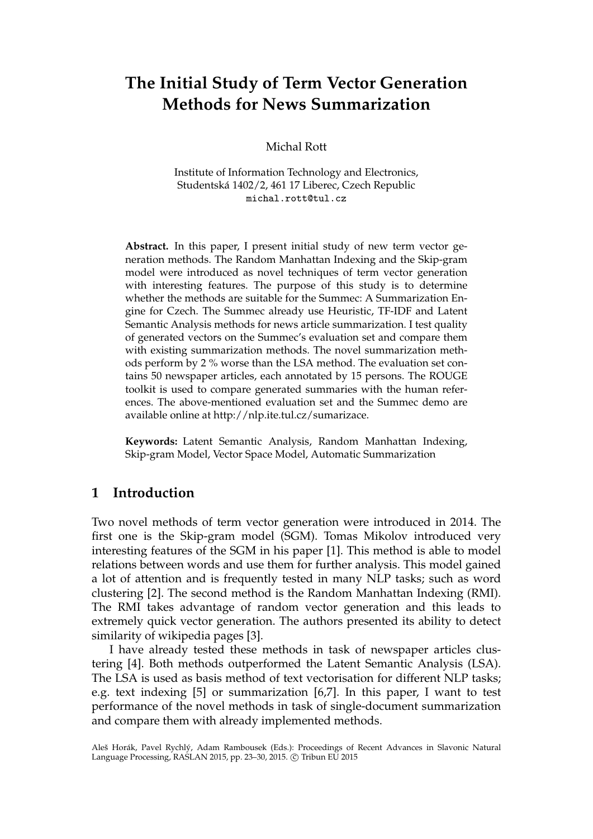# **The Initial Study of Term Vector Generation Methods for News Summarization**

Michal Rott

Institute of Information Technology and Electronics, Studentská 1402/2, 461 17 Liberec, Czech Republic michal.rott@tul.cz

**Abstract.** In this paper, I present initial study of new term vector generation methods. The Random Manhattan Indexing and the Skip-gram model were introduced as novel techniques of term vector generation with interesting features. The purpose of this study is to determine whether the methods are suitable for the Summec: A Summarization Engine for Czech. The Summec already use Heuristic, TF-IDF and Latent Semantic Analysis methods for news article summarization. I test quality of generated vectors on the Summec's evaluation set and compare them with existing summarization methods. The novel summarization methods perform by 2 % worse than the LSA method. The evaluation set contains 50 newspaper articles, each annotated by 15 persons. The ROUGE toolkit is used to compare generated summaries with the human references. The above-mentioned evaluation set and the Summec demo are available online at http://nlp.ite.tul.cz/sumarizace.

**Keywords:** Latent Semantic Analysis, Random Manhattan Indexing, Skip-gram Model, Vector Space Model, Automatic Summarization

## **1 Introduction**

Two novel methods of term vector generation were introduced in 2014. The first one is the Skip-gram model (SGM). Tomas Mikolov introduced very interesting features of the SGM in his paper [1]. This method is able to model relations between words and use them for further analysis. This model gained a lot of attention and is frequently tested in many NLP tasks; such as word clustering [2]. The second method is the Random Manhattan Indexing (RMI). The RMI takes advantage of random vector generation and this leads to extremely quick vector generation. The authors presented its ability to detect similarity of wikipedia pages [3].

I have already tested these methods in task of newspaper articles clustering [4]. Both methods outperformed the Latent Semantic Analysis (LSA). The LSA is used as basis method of text vectorisation for different NLP tasks; e.g. text indexing [5] or summarization [6,7]. In this paper, I want to test performance of the novel methods in task of single-document summarization and compare them with already implemented methods.

Aleš Horák, Pavel Rychlý, Adam Rambousek (Eds.): Proceedings of Recent Advances in Slavonic Natural Language Processing, RASLAN 2015, pp. 23-30, 2015. © Tribun EU 2015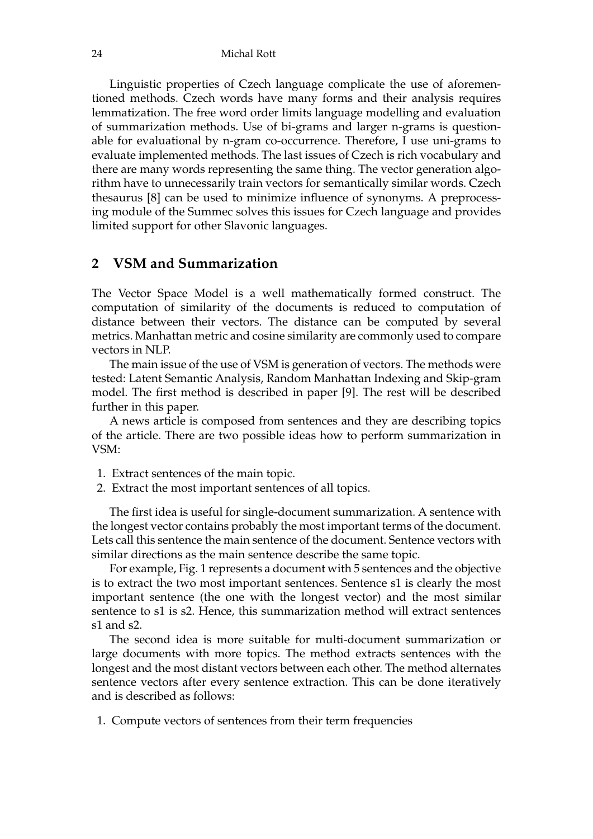Linguistic properties of Czech language complicate the use of aforementioned methods. Czech words have many forms and their analysis requires lemmatization. The free word order limits language modelling and evaluation of summarization methods. Use of bi-grams and larger n-grams is questionable for evaluational by n-gram co-occurrence. Therefore, I use uni-grams to evaluate implemented methods. The last issues of Czech is rich vocabulary and there are many words representing the same thing. The vector generation algorithm have to unnecessarily train vectors for semantically similar words. Czech thesaurus [8] can be used to minimize influence of synonyms. A preprocessing module of the Summec solves this issues for Czech language and provides limited support for other Slavonic languages.

### **2 VSM and Summarization**

The Vector Space Model is a well mathematically formed construct. The computation of similarity of the documents is reduced to computation of distance between their vectors. The distance can be computed by several metrics. Manhattan metric and cosine similarity are commonly used to compare vectors in NLP.

The main issue of the use of VSM is generation of vectors. The methods were tested: Latent Semantic Analysis, Random Manhattan Indexing and Skip-gram model. The first method is described in paper [9]. The rest will be described further in this paper.

A news article is composed from sentences and they are describing topics of the article. There are two possible ideas how to perform summarization in VSM:

- 1. Extract sentences of the main topic.
- 2. Extract the most important sentences of all topics.

The first idea is useful for single-document summarization. A sentence with the longest vector contains probably the most important terms of the document. Lets call this sentence the main sentence of the document. Sentence vectors with similar directions as the main sentence describe the same topic.

For example, Fig. 1 represents a document with 5 sentences and the objective is to extract the two most important sentences. Sentence s1 is clearly the most important sentence (the one with the longest vector) and the most similar sentence to s1 is s2. Hence, this summarization method will extract sentences s1 and s2.

The second idea is more suitable for multi-document summarization or large documents with more topics. The method extracts sentences with the longest and the most distant vectors between each other. The method alternates sentence vectors after every sentence extraction. This can be done iteratively and is described as follows:

1. Compute vectors of sentences from their term frequencies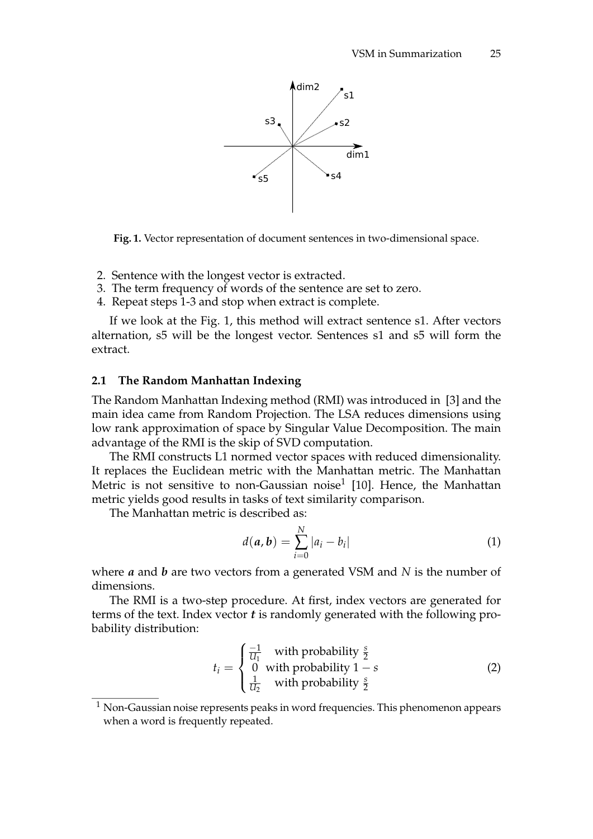

**Fig. 1.** Vector representation of document sentences in two-dimensional space.

- 2. Sentence with the longest vector is extracted.
- 3. The term frequency of words of the sentence are set to zero.
- 4. Repeat steps 1-3 and stop when extract is complete.

If we look at the Fig. 1, this method will extract sentence s1. After vectors alternation, s5 will be the longest vector. Sentences s1 and s5 will form the extract.

#### **2.1 The Random Manhattan Indexing**

The Random Manhattan Indexing method (RMI) was introduced in [3] and the main idea came from Random Projection. The LSA reduces dimensions using low rank approximation of space by Singular Value Decomposition. The main advantage of the RMI is the skip of SVD computation.

The RMI constructs L1 normed vector spaces with reduced dimensionality. It replaces the Euclidean metric with the Manhattan metric. The Manhattan Metric is not sensitive to non-Gaussian noise<sup>1</sup> [10]. Hence, the Manhattan metric yields good results in tasks of text similarity comparison.

The Manhattan metric is described as:

$$
d(a, b) = \sum_{i=0}^{N} |a_i - b_i|
$$
 (1)

where *a* and *b* are two vectors from a generated VSM and *N* is the number of dimensions.

The RMI is a two-step procedure. At first, index vectors are generated for terms of the text. Index vector *t* is randomly generated with the following probability distribution:

$$
t_i = \begin{cases} \frac{-1}{U_1} & \text{with probability } \frac{s}{2} \\ 0 & \text{with probability } 1 - s \\ \frac{1}{U_2} & \text{with probability } \frac{s}{2} \end{cases} \tag{2}
$$

 $1$  Non-Gaussian noise represents peaks in word frequencies. This phenomenon appears when a word is frequently repeated.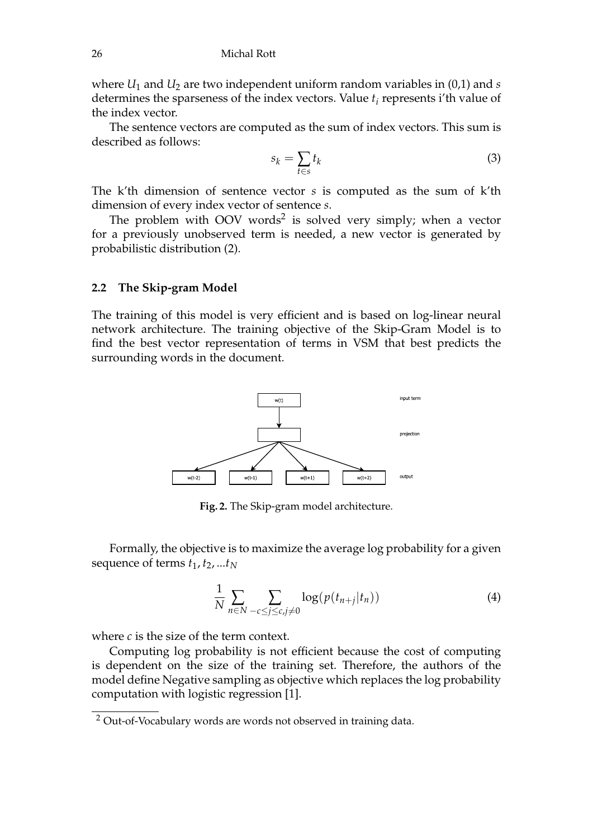where  $U_1$  and  $U_2$  are two independent uniform random variables in (0,1) and *s* determines the sparseness of the index vectors. Value *t<sup>i</sup>* represents i'th value of the index vector.

The sentence vectors are computed as the sum of index vectors. This sum is described as follows:

$$
s_k = \sum_{t \in s} t_k \tag{3}
$$

The k'th dimension of sentence vector *s* is computed as the sum of k'th dimension of every index vector of sentence *s*.

The problem with OOV words<sup>2</sup> is solved very simply; when a vector for a previously unobserved term is needed, a new vector is generated by probabilistic distribution (2).

#### **2.2 The Skip-gram Model**

The training of this model is very efficient and is based on log-linear neural network architecture. The training objective of the Skip-Gram Model is to find the best vector representation of terms in VSM that best predicts the surrounding words in the document.



**Fig. 2.** The Skip-gram model architecture.

Formally, the objective is to maximize the average log probability for a given sequence of terms  $t_1, t_2, ... t_N$ 

$$
\frac{1}{N} \sum_{n \in N} \sum_{-c \le j \le c, j \ne 0} \log(p(t_{n+j}|t_n)) \tag{4}
$$

where *c* is the size of the term context.

Computing log probability is not efficient because the cost of computing is dependent on the size of the training set. Therefore, the authors of the model define Negative sampling as objective which replaces the log probability computation with logistic regression [1].

<sup>2</sup> Out-of-Vocabulary words are words not observed in training data.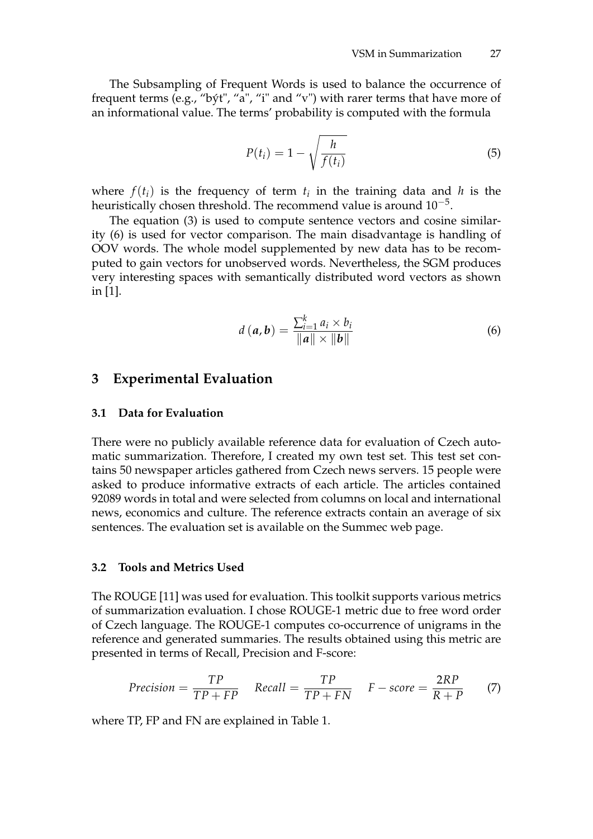The Subsampling of Frequent Words is used to balance the occurrence of frequent terms (e.g., "být", "a", "i" and "v") with rarer terms that have more of an informational value. The terms' probability is computed with the formula

$$
P(t_i) = 1 - \sqrt{\frac{h}{f(t_i)}}\tag{5}
$$

where  $f(t_i)$  is the frequency of term  $t_i$  in the training data and  $h$  is the heuristically chosen threshold. The recommend value is around  $10^{-5}$ .

The equation (3) is used to compute sentence vectors and cosine similarity (6) is used for vector comparison. The main disadvantage is handling of OOV words. The whole model supplemented by new data has to be recomputed to gain vectors for unobserved words. Nevertheless, the SGM produces very interesting spaces with semantically distributed word vectors as shown in [1].

$$
d(a, b) = \frac{\sum_{i=1}^{k} a_i \times b_i}{\|a\| \times \|b\|}
$$
 (6)

### **3 Experimental Evaluation**

#### **3.1 Data for Evaluation**

There were no publicly available reference data for evaluation of Czech automatic summarization. Therefore, I created my own test set. This test set contains 50 newspaper articles gathered from Czech news servers. 15 people were asked to produce informative extracts of each article. The articles contained 92089 words in total and were selected from columns on local and international news, economics and culture. The reference extracts contain an average of six sentences. The evaluation set is available on the Summec web page.

#### **3.2 Tools and Metrics Used**

The ROUGE [11] was used for evaluation. This toolkit supports various metrics of summarization evaluation. I chose ROUGE-1 metric due to free word order of Czech language. The ROUGE-1 computes co-occurrence of unigrams in the reference and generated summaries. The results obtained using this metric are presented in terms of Recall, Precision and F-score:

$$
Precision = \frac{TP}{TP + FP} \quad Recall = \frac{TP}{TP + FN} \quad F - score = \frac{2RP}{R + P} \tag{7}
$$

where TP, FP and FN are explained in Table 1.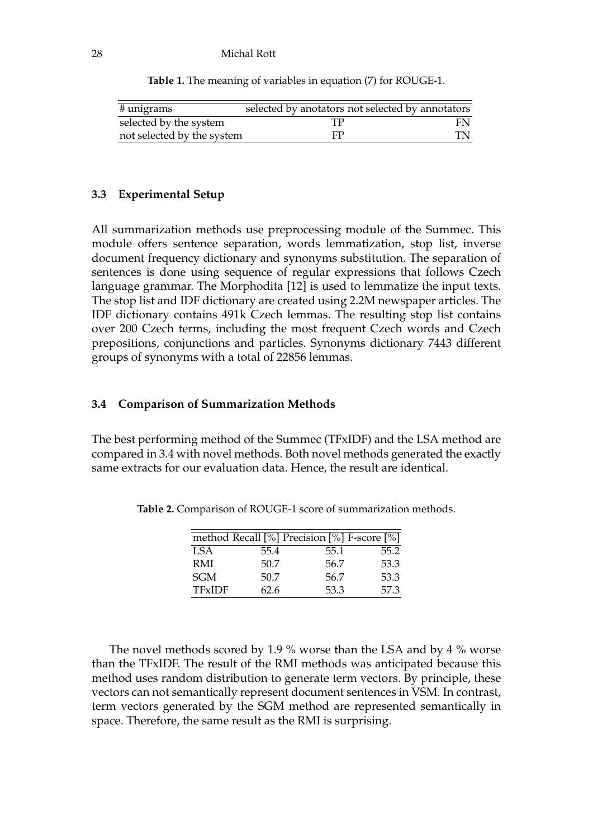#### 28 Michal Rott

| $#$ unigrams               | selected by anotators not selected by annotators |    |
|----------------------------|--------------------------------------------------|----|
| selected by the system     |                                                  | FN |
| not selected by the system | FP                                               | TN |

**Table 1.** The meaning of variables in equation (7) for ROUGE-1.

#### **3.3 Experimental Setup**

All summarization methods use preprocessing module of the Summec. This module offers sentence separation, words lemmatization, stop list, inverse document frequency dictionary and synonyms substitution. The separation of sentences is done using sequence of regular expressions that follows Czech language grammar. The Morphodita [12] is used to lemmatize the input texts. The stop list and IDF dictionary are created using 2.2M newspaper articles. The IDF dictionary contains 491k Czech lemmas. The resulting stop list contains over 200 Czech terms, including the most frequent Czech words and Czech prepositions, conjunctions and particles. Synonyms dictionary 7443 different groups of synonyms with a total of 22856 lemmas.

#### **3.4 Comparison of Summarization Methods**

The best performing method of the Summec (TFxIDF) and the LSA method are compared in 3.4 with novel methods. Both novel methods generated the exactly same extracts for our evaluation data. Hence, the result are identical.

|               |      | method Recall [%] Precision [%] F-score [%] |      |
|---------------|------|---------------------------------------------|------|
| <b>ISA</b>    | 55.4 | 55.1                                        | 55.2 |
| <b>RMI</b>    | 50.7 | 56.7                                        | 53.3 |
| <b>SGM</b>    | 50.7 | 56.7                                        | 53.3 |
| <b>TFxIDF</b> | 62.6 | 53.3                                        | 57.3 |

**Table 2.** Comparison of ROUGE-1 score of summarization methods.

The novel methods scored by 1.9 % worse than the LSA and by 4 % worse than the TFxIDF. The result of the RMI methods was anticipated because this method uses random distribution to generate term vectors. By principle, these vectors can not semantically represent document sentences in VSM. In contrast, term vectors generated by the SGM method are represented semantically in space. Therefore, the same result as the RMI is surprising.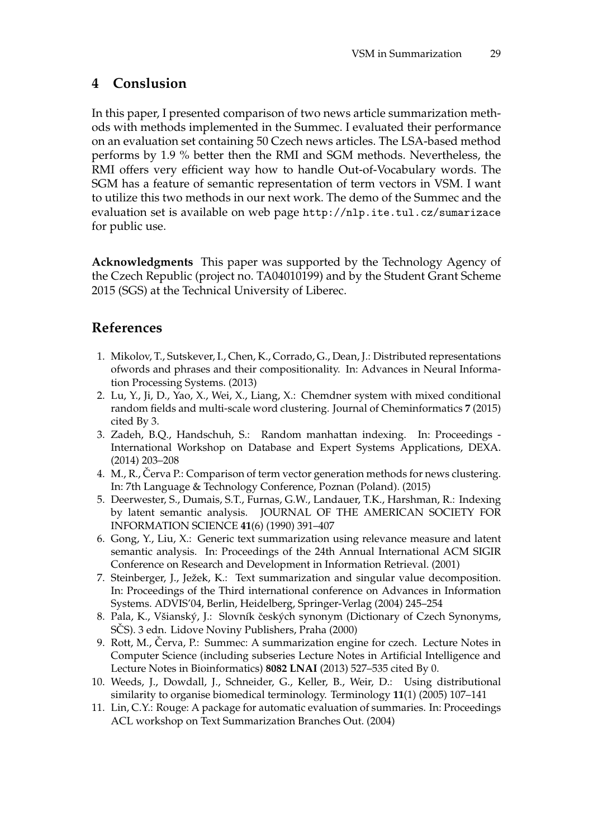# **4 Conslusion**

In this paper, I presented comparison of two news article summarization methods with methods implemented in the Summec. I evaluated their performance on an evaluation set containing 50 Czech news articles. The LSA-based method performs by 1.9 % better then the RMI and SGM methods. Nevertheless, the RMI offers very efficient way how to handle Out-of-Vocabulary words. The SGM has a feature of semantic representation of term vectors in VSM. I want to utilize this two methods in our next work. The demo of the Summec and the evaluation set is available on web page http://nlp.ite.tul.cz/sumarizace for public use.

**Acknowledgments** This paper was supported by the Technology Agency of the Czech Republic (project no. TA04010199) and by the Student Grant Scheme 2015 (SGS) at the Technical University of Liberec.

# **References**

- 1. Mikolov, T., Sutskever, I., Chen, K., Corrado, G., Dean, J.: Distributed representations ofwords and phrases and their compositionality. In: Advances in Neural Information Processing Systems. (2013)
- 2. Lu, Y., Ji, D., Yao, X., Wei, X., Liang, X.: Chemdner system with mixed conditional random fields and multi-scale word clustering. Journal of Cheminformatics **7** (2015) cited By 3.
- 3. Zadeh, B.Q., Handschuh, S.: Random manhattan indexing. In: Proceedings International Workshop on Database and Expert Systems Applications, DEXA. (2014) 203–208
- 4. M., R., Červa P.: Comparison of term vector generation methods for news clustering. In: 7th Language & Technology Conference, Poznan (Poland). (2015)
- 5. Deerwester, S., Dumais, S.T., Furnas, G.W., Landauer, T.K., Harshman, R.: Indexing by latent semantic analysis. JOURNAL OF THE AMERICAN SOCIETY FOR INFORMATION SCIENCE **41**(6) (1990) 391–407
- 6. Gong, Y., Liu, X.: Generic text summarization using relevance measure and latent semantic analysis. In: Proceedings of the 24th Annual International ACM SIGIR Conference on Research and Development in Information Retrieval. (2001)
- 7. Steinberger, J., Ježek, K.: Text summarization and singular value decomposition. In: Proceedings of the Third international conference on Advances in Information Systems. ADVIS'04, Berlin, Heidelberg, Springer-Verlag (2004) 245–254
- 8. Pala, K., Všianský, J.: Slovník českých synonym (Dictionary of Czech Synonyms, SCS). 3 edn. Lidove Noviny Publishers, Praha (2000)
- 9. Rott, M., Červa, P.: Summec: A summarization engine for czech. Lecture Notes in Computer Science (including subseries Lecture Notes in Artificial Intelligence and Lecture Notes in Bioinformatics) **8082 LNAI** (2013) 527–535 cited By 0.
- 10. Weeds, J., Dowdall, J., Schneider, G., Keller, B., Weir, D.: Using distributional similarity to organise biomedical terminology. Terminology **11**(1) (2005) 107–141
- 11. Lin, C.Y.: Rouge: A package for automatic evaluation of summaries. In: Proceedings ACL workshop on Text Summarization Branches Out. (2004)